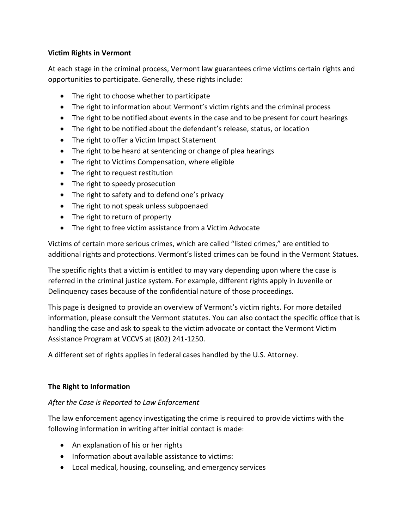## **Victim Rights in Vermont**

At each stage in the criminal process, Vermont law guarantees crime victims certain rights and opportunities to participate. Generally, these rights include:

- The right to choose whether to participate
- The right to information about Vermont's victim rights and the criminal process
- The right to be notified about events in the case and to be present for court hearings
- The right to be notified about the defendant's release, status, or location
- The right to offer a Victim Impact Statement
- The right to be heard at sentencing or change of plea hearings
- The right to Victims Compensation, where eligible
- The right to request restitution
- The right to speedy prosecution
- The right to safety and to defend one's privacy
- The right to not speak unless subpoenaed
- The right to return of property
- The right to free victim assistance from a Victim Advocate

Victims of certain more serious crimes, which are called "listed crimes," are entitled to additional rights and protections. Vermont's listed crimes can be found in the Vermont Statues.

The specific rights that a victim is entitled to may vary depending upon where the case is referred in the criminal justice system. For example, different rights apply in Juvenile or Delinquency cases because of the confidential nature of those proceedings.

This page is designed to provide an overview of Vermont's victim rights. For more detailed information, please consult the Vermont statutes. You can also contact the specific office that is handling the case and ask to speak to the victim advocate or contact the Vermont Victim Assistance Program at VCCVS at (802) 241-1250.

A different set of rights applies in federal cases handled by the U.S. Attorney.

### **The Right to Information**

# *After the Case is Reported to Law Enforcement*

The law enforcement agency investigating the crime is required to provide victims with the following information in writing after initial contact is made:

- An explanation of his or her rights
- Information about available assistance to victims:
- Local medical, housing, counseling, and emergency services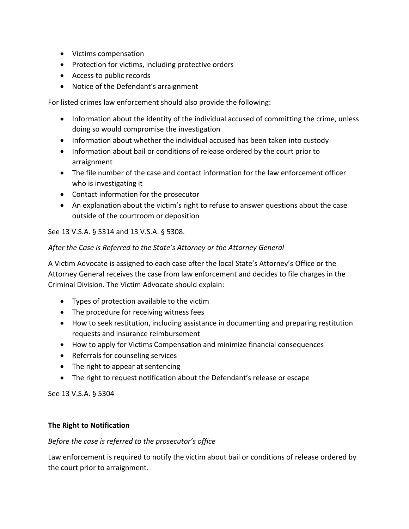- Victims compensation
- Protection for victims, including protective orders
- Access to public records
- Notice of the Defendant's arraignment

For listed crimes law enforcement should also provide the following:

- Information about the identity of the individual accused of committing the crime, unless doing so would compromise the investigation
- Information about whether the individual accused has been taken into custody
- Information about bail or conditions of release ordered by the court prior to arraignment
- The file number of the case and contact information for the law enforcement officer who is investigating it
- Contact information for the prosecutor
- An explanation about the victim's right to refuse to answer questions about the case outside of the courtroom or deposition

See 13 V.S.A. § 5314 and 13 V.S.A. § 5308.

#### *After the Case is Referred to the State's Attorney or the Attorney General*

A Victim Advocate is assigned to each case after the local State's Attorney's Office or the Attorney General receives the case from law enforcement and decides to file charges in the Criminal Division. The Victim Advocate should explain:

- Types of protection available to the victim
- The procedure for receiving witness fees
- How to seek restitution, including assistance in documenting and preparing restitution requests and insurance reimbursement
- How to apply for Victims Compensation and minimize financial consequences
- Referrals for counseling services
- The right to appear at sentencing
- The right to request notification about the Defendant's release or escape

See 13 V.S.A. § 5304

#### **The Right to Notification**

### *Before the case is referred to the prosecutor's office*

Law enforcement is required to notify the victim about bail or conditions of release ordered by the court prior to arraignment.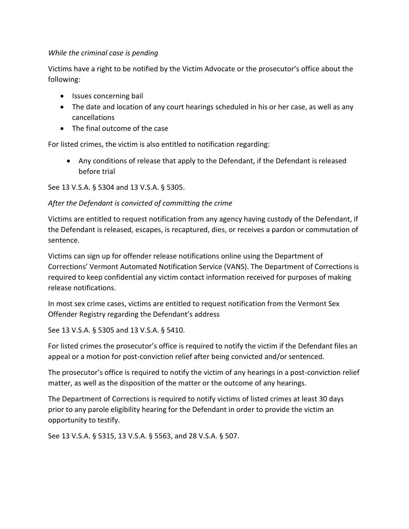## *While the criminal case is pending*

Victims have a right to be notified by the Victim Advocate or the prosecutor's office about the following:

- Issues concerning bail
- The date and location of any court hearings scheduled in his or her case, as well as any cancellations
- The final outcome of the case

For listed crimes, the victim is also entitled to notification regarding:

• Any conditions of release that apply to the Defendant, if the Defendant is released before trial

See 13 V.S.A. § 5304 and 13 V.S.A. § 5305.

# *After the Defendant is convicted of committing the crime*

Victims are entitled to request notification from any agency having custody of the Defendant, if the Defendant is released, escapes, is recaptured, dies, or receives a pardon or commutation of sentence.

Victims can sign up for offender release notifications online using the Department of Corrections' Vermont Automated Notification Service (VANS). The Department of Corrections is required to keep confidential any victim contact information received for purposes of making release notifications.

In most sex crime cases, victims are entitled to request notification from the Vermont Sex Offender Registry regarding the Defendant's address

See 13 V.S.A. § 5305 and 13 V.S.A. § 5410.

For listed crimes the prosecutor's office is required to notify the victim if the Defendant files an appeal or a motion for post-conviction relief after being convicted and/or sentenced.

The prosecutor's office is required to notify the victim of any hearings in a post-conviction relief matter, as well as the disposition of the matter or the outcome of any hearings.

The Department of Corrections is required to notify victims of listed crimes at least 30 days prior to any parole eligibility hearing for the Defendant in order to provide the victim an opportunity to testify.

See 13 V.S.A. § 5315, 13 V.S.A. § 5563, and 28 V.S.A. § 507.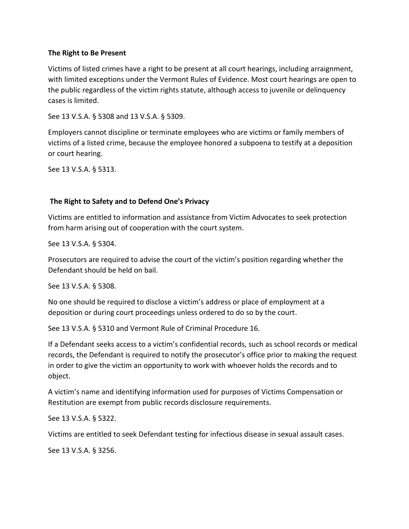#### **The Right to Be Present**

Victims of listed crimes have a right to be present at all court hearings, including arraignment, with limited exceptions under the Vermont Rules of Evidence. Most court hearings are open to the public regardless of the victim rights statute, although access to juvenile or delinquency cases is limited.

See 13 V.S.A. § 5308 and 13 V.S.A. § 5309.

Employers cannot discipline or terminate employees who are victims or family members of victims of a listed crime, because the employee honored a subpoena to testify at a deposition or court hearing.

See 13 V.S.A. § 5313.

### **The Right to Safety and to Defend One's Privacy**

Victims are entitled to information and assistance from Victim Advocates to seek protection from harm arising out of cooperation with the court system.

See 13 V.S.A. § 5304.

Prosecutors are required to advise the court of the victim's position regarding whether the Defendant should be held on bail.

See 13 V.S.A. § 5308.

No one should be required to disclose a victim's address or place of employment at a deposition or during court proceedings unless ordered to do so by the court.

See 13 V.S.A. § 5310 and Vermont Rule of Criminal Procedure 16.

If a Defendant seeks access to a victim's confidential records, such as school records or medical records, the Defendant is required to notify the prosecutor's office prior to making the request in order to give the victim an opportunity to work with whoever holds the records and to object.

A victim's name and identifying information used for purposes of Victims Compensation or Restitution are exempt from public records disclosure requirements.

See 13 V.S.A. § 5322.

Victims are entitled to seek Defendant testing for infectious disease in sexual assault cases.

See 13 V.S.A. § 3256.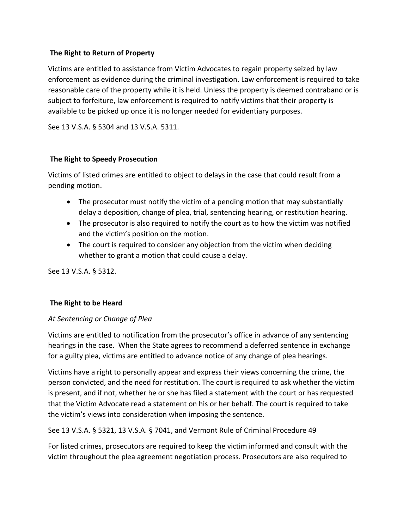### **The Right to Return of Property**

Victims are entitled to assistance from Victim Advocates to regain property seized by law enforcement as evidence during the criminal investigation. Law enforcement is required to take reasonable care of the property while it is held. Unless the property is deemed contraband or is subject to forfeiture, law enforcement is required to notify victims that their property is available to be picked up once it is no longer needed for evidentiary purposes.

See 13 V.S.A. § 5304 and 13 V.S.A. 5311.

### **The Right to Speedy Prosecution**

Victims of listed crimes are entitled to object to delays in the case that could result from a pending motion.

- The prosecutor must notify the victim of a pending motion that may substantially delay a deposition, change of plea, trial, sentencing hearing, or restitution hearing.
- The prosecutor is also required to notify the court as to how the victim was notified and the victim's position on the motion.
- The court is required to consider any objection from the victim when deciding whether to grant a motion that could cause a delay.

See 13 V.S.A. § 5312.

#### **The Right to be Heard**

#### *At Sentencing or Change of Plea*

Victims are entitled to notification from the prosecutor's office in advance of any sentencing hearings in the case. When the State agrees to recommend a deferred sentence in exchange for a guilty plea, victims are entitled to advance notice of any change of plea hearings.

Victims have a right to personally appear and express their views concerning the crime, the person convicted, and the need for restitution. The court is required to ask whether the victim is present, and if not, whether he or she has filed a statement with the court or has requested that the Victim Advocate read a statement on his or her behalf. The court is required to take the victim's views into consideration when imposing the sentence.

See 13 V.S.A. § 5321, 13 V.S.A. § 7041, and Vermont Rule of Criminal Procedure 49

For listed crimes, prosecutors are required to keep the victim informed and consult with the victim throughout the plea agreement negotiation process. Prosecutors are also required to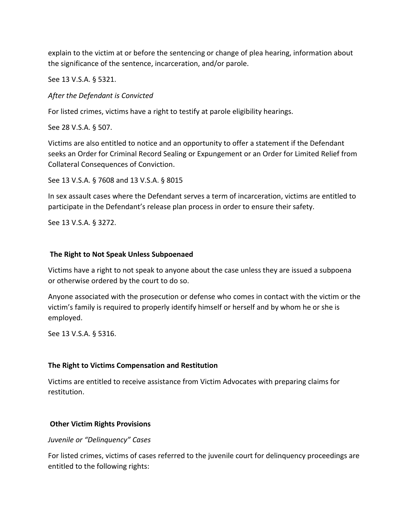explain to the victim at or before the sentencing or change of plea hearing, information about the significance of the sentence, incarceration, and/or parole.

See 13 V.S.A. § 5321.

*After the Defendant is Convicted*

For listed crimes, victims have a right to testify at parole eligibility hearings.

See 28 V.S.A. § 507.

Victims are also entitled to notice and an opportunity to offer a statement if the Defendant seeks an Order for Criminal Record Sealing or Expungement or an Order for Limited Relief from Collateral Consequences of Conviction.

See 13 V.S.A. § 7608 and 13 V.S.A. § 8015

In sex assault cases where the Defendant serves a term of incarceration, victims are entitled to participate in the Defendant's release plan process in order to ensure their safety.

See 13 V.S.A. § 3272.

#### **The Right to Not Speak Unless Subpoenaed**

Victims have a right to not speak to anyone about the case unless they are issued a subpoena or otherwise ordered by the court to do so.

Anyone associated with the prosecution or defense who comes in contact with the victim or the victim's family is required to properly identify himself or herself and by whom he or she is employed.

See 13 V.S.A. § 5316.

### **The Right to Victims Compensation and Restitution**

Victims are entitled to receive assistance from Victim Advocates with preparing claims for restitution.

#### **Other Victim Rights Provisions**

#### *Juvenile or "Delinquency" Cases*

For listed crimes, victims of cases referred to the juvenile court for delinquency proceedings are entitled to the following rights: